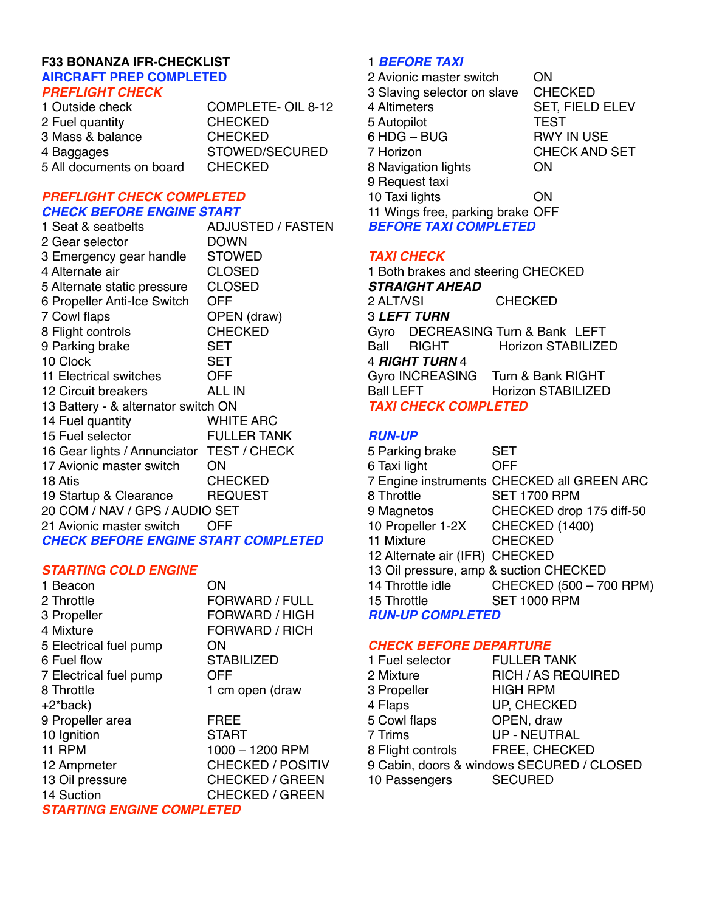#### **F33 BONANZA IFR-CHECKLIST AIRCRAFT PREP COMPLETED**  *PREFLIGHT CHECK*

1 Outside check COMPLETE- OIL 8-12 2 Fuel quantity CHECKED 3 Mass & balance CHECKED 4 Baggages 
STOWED/SECURED 5 All documents on board CHECKED

# *PREFLIGHT CHECK COMPLETED CHECK BEFORE ENGINE START*

| 1 Seat & seatbelts                         | <b>ADJUSTED / FASTEN</b> |
|--------------------------------------------|--------------------------|
| 2 Gear selector                            | <b>DOWN</b>              |
| 3 Emergency gear handle                    | <b>STOWED</b>            |
| 4 Alternate air                            | <b>CLOSED</b>            |
| 5 Alternate static pressure                | <b>CLOSED</b>            |
| 6 Propeller Anti-Ice Switch                | OFF                      |
| 7 Cowl flaps                               | OPEN (draw)              |
| 8 Flight controls                          | <b>CHECKED</b>           |
| 9 Parking brake                            | SET                      |
| 10 Clock                                   | SET                      |
| 11 Electrical switches                     | OFF                      |
| 12 Circuit breakers                        | ALL IN                   |
| 13 Battery - & alternator switch ON        |                          |
| 14 Fuel quantity                           | <b>WHITE ARC</b>         |
| 15 Fuel selector                           | <b>FULLER TANK</b>       |
| 16 Gear lights / Annunciator TEST / CHECK  |                          |
| 17 Avionic master switch                   | ON                       |
| 18 Atis                                    | <b>CHECKED</b>           |
| 19 Startup & Clearance                     | <b>REQUEST</b>           |
| 20 COM / NAV / GPS / AUDIO SET             |                          |
| 21 Avionic master switch                   | OFF                      |
| <b>CHECK BEFORE ENGINE START COMPLETED</b> |                          |

# *STARTING COLD ENGINE*

| 1 Beacon               | ΟN                       |
|------------------------|--------------------------|
| 2 Throttle             | <b>FORWARD / FULL</b>    |
| 3 Propeller            | FORWARD / HIGH           |
| 4 Mixture              | FORWARD / RICH           |
| 5 Electrical fuel pump | ON                       |
| 6 Fuel flow            | <b>STABILIZED</b>        |
| 7 Electrical fuel pump | OFF                      |
| 8 Throttle             | 1 cm open (draw          |
| $+2^*$ back)           |                          |
| 9 Propeller area       | FREE                     |
| 10 Ignition            | <b>START</b>             |
| <b>11 RPM</b>          | 1000 - 1200 RPM          |
| 12 Ampmeter            | <b>CHECKED / POSITIV</b> |
| 13 Oil pressure        | <b>CHECKED / GREEN</b>   |
| 14 Suction             | <b>CHECKED / GREEN</b>   |
| ОТА ПТИ                |                          |

*STARTING ENGINE COMPLETED*

# 1 *BEFORE TAXI*

2 Avionic master switch ON 3 Slaving selector on slave CHECKED 4 Altimeters 
SET, FIELD ELEV 5 Autopilot 
TEST 6 HDG – BUG RWY IN USE 7 Horizon 
CHECK AND SET 8 Navigation lights ON 9 Request taxi 10 Taxi lights **ON** 11 Wings free, parking brake OFF *BEFORE TAXI COMPLETED*

# *TAXI CHECK*

1 Both brakes and steering CHECKED *STRAIGHT AHEAD* 2 ALT/VSI CHECKED 3 *LEFT TURN*  Gyro DECREASING Turn & Bank LEFT Ball RIGHT Horizon STABILIZED 4 *RIGHT TURN* 4 Gyro INCREASING Turn & Bank RIGHT Ball LEFT Horizon STABILIZED *TAXI CHECK COMPLETED*

# *RUN-UP*

| 5 Parking brake                        | <b>SET</b>                                 |
|----------------------------------------|--------------------------------------------|
| 6 Taxi light                           | <b>OFF</b>                                 |
|                                        | 7 Engine instruments CHECKED all GREEN ARC |
| 8 Throttle                             | <b>SET 1700 RPM</b>                        |
| 9 Magnetos                             | CHECKED drop 175 diff-50                   |
| 10 Propeller 1-2X                      | CHECKED (1400)                             |
| 11 Mixture                             | <b>CHECKED</b>                             |
| 12 Alternate air (IFR) CHECKED         |                                            |
| 13 Oil pressure, amp & suction CHECKED |                                            |
| 14 Throttle idle                       | CHECKED (500 - 700 RPM)                    |
| 15 Throttle                            | <b>SET 1000 RPM</b>                        |
| <b>RUN-UP COMPLETED</b>                |                                            |

# *CHECK BEFORE DEPARTURE*

| 1 Fuel selector   | <b>FULLER TANK</b>                        |
|-------------------|-------------------------------------------|
| 2 Mixture         | <b>RICH / AS REQUIRED</b>                 |
| 3 Propeller       | <b>HIGH RPM</b>                           |
| 4 Flaps           | <b>UP, CHECKED</b>                        |
| 5 Cowl flaps      | OPEN, draw                                |
| 7 Trims           | <b>UP - NEUTRAL</b>                       |
| 8 Flight controls | FREE, CHECKED                             |
|                   | 9 Cabin, doors & windows SECURED / CLOSED |
| 10 Passengers     | <b>SECURED</b>                            |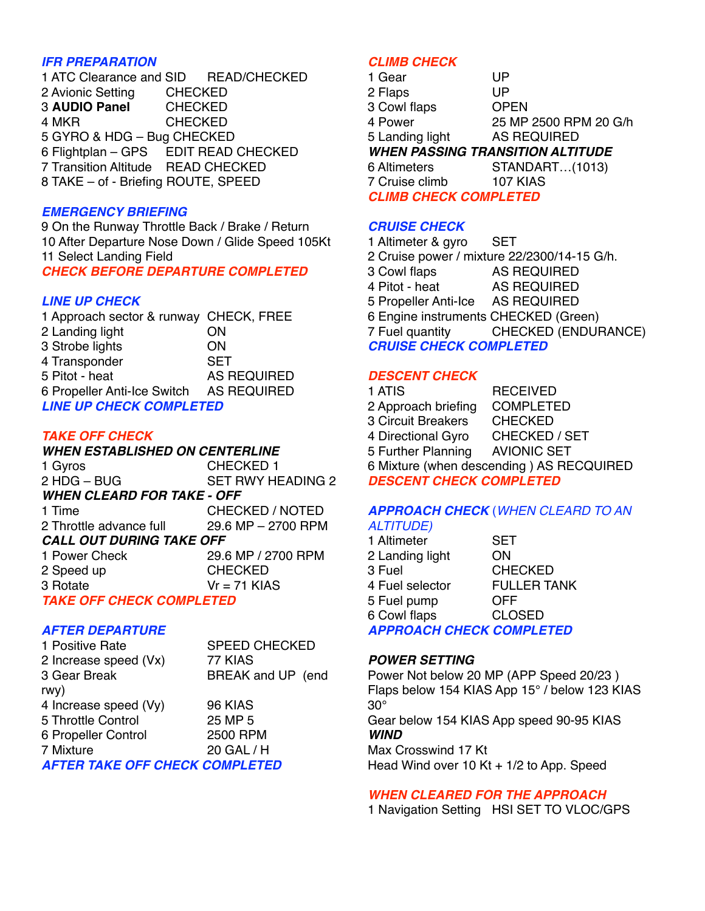# *IFR PREPARATION*

1 ATC Clearance and SID READ/CHECKED 2 Avionic Setting CHECKED 3 **AUDIO Panel** CHECKED 4 MKR CHECKED 5 GYRO & HDG – Bug CHECKED 6 Flightplan – GPS EDIT READ CHECKED 7 Transition Altitude READ CHECKED 8 TAKE – of - Briefing ROUTE, SPEED

# *EMERGENCY BRIEFING*

9 On the Runway Throttle Back / Brake / Return 10 After Departure Nose Down / Glide Speed 105Kt 11 Select Landing Field *CHECK BEFORE DEPARTURE COMPLETED*

# *LINE UP CHECK*

1 Approach sector & runway CHECK, FREE 2 Landing light **CON** 3 Strobe lights ON 4 Transponder SET 5 Pitot - heat 
AS REQUIRED 6 Propeller Anti-Ice Switch AS REQUIRED *LINE UP CHECK COMPLETED*

# *TAKE OFF CHECK*

# *WHEN ESTABLISHED ON CENTERLINE*

1 Gyros 
CHECKED 1 2 HDG – BUG SET RWY HEADING 2 *WHEN CLEARD FOR TAKE - OFF* 1 Time 
CHECKED / NOTED 2 Throttle advance full 29.6 MP – 2700 RPM *CALL OUT DURING TAKE OFF* 1 Power Check 29.6 MP / 2700 RPM 2 Speed up 
CHECKED  $3$  Rotate  $Vr = 71$  KIAS

*TAKE OFF CHECK COMPLETED*

# *AFTER DEPARTURE*

1 Positive Rate SPEED CHECKED 2 Increase speed (Vx) 77 KIAS 3 Gear Break 
BREAK and UP (end rwy) 4 Increase speed (Vy) 96 KIAS 5 Throttle Control 25 MP 5 6 Propeller Control 2500 RPM 7 Mixture 
20 GAL / H *AFTER TAKE OFF CHECK COMPLETED*

# *CLIMB CHECK*

| 1 Gear                                  | UP                    |  |
|-----------------------------------------|-----------------------|--|
| 2 Flaps                                 | UP                    |  |
| 3 Cowl flaps                            | <b>OPEN</b>           |  |
| 4 Power                                 | 25 MP 2500 RPM 20 G/h |  |
| 5 Landing light                         | <b>AS REQUIRED</b>    |  |
| <b>WHEN PASSING TRANSITION ALTITUDE</b> |                       |  |
| 6 Altimeters                            | STANDART(1013)        |  |
| 7 Cruise climb                          | <b>107 KIAS</b>       |  |
| <b>CLIMB CHECK COMPLETED</b>            |                       |  |

# *CRUISE CHECK*

1 Altimeter & gyro SET 2 Cruise power / mixture 22/2300/14-15 G/h. 3 Cowl flaps AS REQUIRED 4 Pitot - heat AS REQUIRED 5 Propeller Anti-Ice AS REQUIRED 6 Engine instruments CHECKED (Green) 7 Fuel quantity CHECKED (ENDURANCE) *CRUISE CHECK COMPLETED*

# *DESCENT CHECK*

| 1 ATIS                                   | <b>RECEIVED</b>      |  |
|------------------------------------------|----------------------|--|
| 2 Approach briefing                      | <b>COMPLETED</b>     |  |
| <b>3 Circuit Breakers</b>                | <b>CHECKED</b>       |  |
| 4 Directional Gyro                       | <b>CHECKED / SET</b> |  |
| 5 Further Planning                       | <b>AVIONIC SET</b>   |  |
| 6 Mixture (when descending) AS RECQUIRED |                      |  |
| <b>DESCENT CHECK COMPLETED</b>           |                      |  |

# *APPROACH CHECK* (*WHEN CLEARD TO AN ALTITUDE)*

| 1 Altimeter                     | <b>SET</b>         |
|---------------------------------|--------------------|
| 2 Landing light                 | ON                 |
| 3 Fuel                          | <b>CHECKED</b>     |
| 4 Fuel selector                 | <b>FULLER TANK</b> |
| 5 Fuel pump                     | OFF                |
| 6 Cowl flaps                    | <b>CLOSED</b>      |
| <b>APPROACH CHECK COMPLETED</b> |                    |

#### *POWER SETTING*

Power Not below 20 MP (APP Speed 20/23 ) Flaps below 154 KIAS App 15° / below 123 KIAS  $30^\circ$ 

Gear below 154 KIAS App speed 90-95 KIAS *WIND*

Max Crosswind 17 Kt Head Wind over 10 Kt + 1/2 to App. Speed

# *WHEN CLEARED FOR THE APPROACH*

1 Navigation Setting HSI SET TO VLOC/GPS